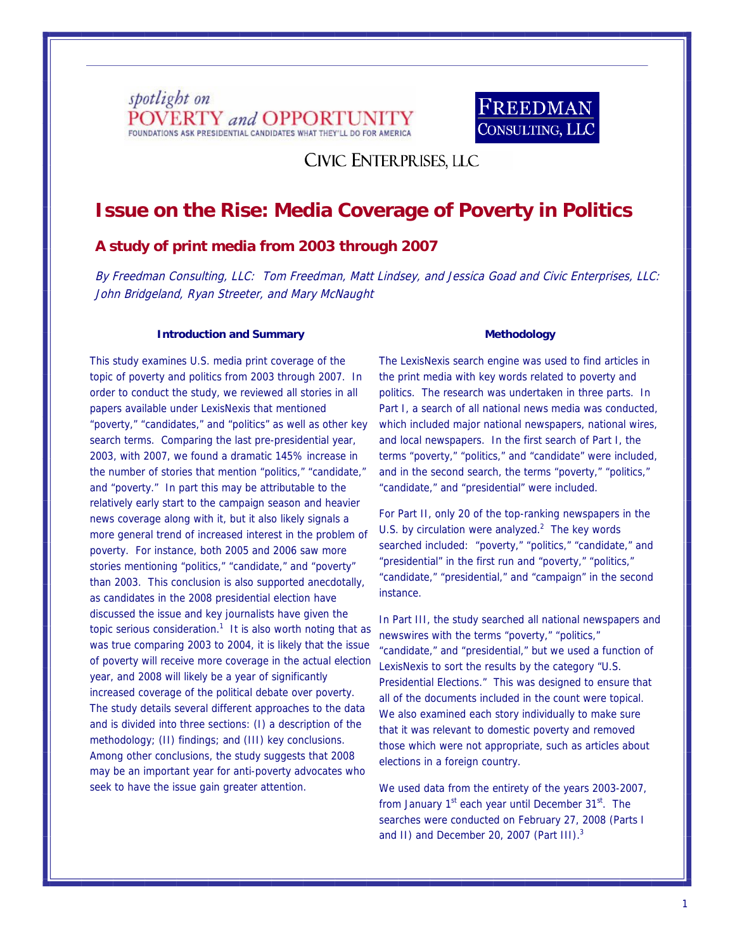



**CIVIC ENTERPRISES, LLC** 

# **Issue on the Rise: Media Coverage of Poverty in Politics**

## **A study of print media from 2003 through 2007**

By Freedman Consulting, LLC: Tom Freedman, Matt Lindsey, and Jessica Goad and Civic Enterprises, LLC: John Bridgeland, Ryan Streeter, and Mary McNaught

#### **Introduction and Summary**

This study examines U.S. media print coverage of the topic of poverty and politics from 2003 through 2007. In order to conduct the study, we reviewed all stories in all papers available under LexisNexis that mentioned "poverty," "candidates," and "politics" as well as other key search terms. Comparing the last pre-presidential year, 2003, with 2007, we found a dramatic 145% increase in the number of stories that mention "politics," "candidate," and "poverty." In part this may be attributable to the relatively early start to the campaign season and heavier news coverage along with it, but it also likely signals a more general trend of increased interest in the problem of poverty. For instance, both 2005 and 2006 saw more stories mentioning "politics," "candidate," and "poverty" than 2003. This conclusion is also supported anecdotally, as candidates in the 2008 presidential election have discussed the issue and key journalists have given the topic serious consideration.<sup>1</sup> It is also worth noting that as was true comparing 2003 to 2004, it is likely that the issue of poverty will receive more coverage in the actual election year, and 2008 will likely be a year of significantly increased coverage of the political debate over poverty. The study details several different approaches to the data and is divided into three sections: (I) a description of the methodology; (II) findings; and (III) key conclusions. Among other conclusions, the study suggests that 2008 may be an important year for anti-poverty advocates who seek to have the issue gain greater attention.

#### **Methodology**

The LexisNexis search engine was used to find articles in the print media with key words related to poverty and politics. The research was undertaken in three parts. In Part I, a search of all national news media was conducted, which included major national newspapers, national wires, and local newspapers. In the first search of Part I, the terms "poverty," "politics," and "candidate" were included, and in the second search, the terms "poverty," "politics," "candidate," and "presidential" were included.

For Part II, only 20 of the top-ranking newspapers in the U.S. by circulation were analyzed. $2$  The key words searched included: "poverty," "politics," "candidate," and "presidential" in the first run and "poverty," "politics," "candidate," "presidential," and "campaign" in the second instance.

In Part III, the study searched all national newspapers and newswires with the terms "poverty," "politics," "candidate," and "presidential," but we used a function of LexisNexis to sort the results by the category "U.S. Presidential Elections." This was designed to ensure that all of the documents included in the count were topical. We also examined each story individually to make sure that it was relevant to domestic poverty and removed those which were not appropriate, such as articles about elections in a foreign country.

We used data from the entirety of the years 2003-2007, from January 1<sup>st</sup> each year until December 31<sup>st</sup>. The searches were conducted on February 27, 2008 (Parts I and II) and December 20, 2007 (Part III).<sup>3</sup>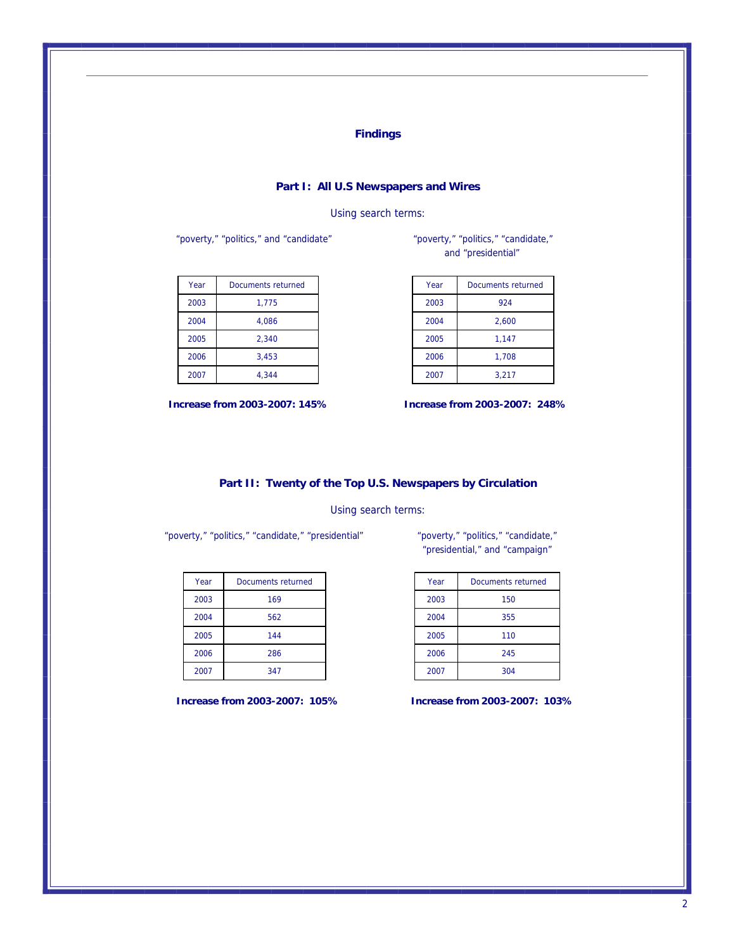### **Findings**

#### **Part I: All U.S Newspapers and Wires**

#### Using search terms:

"poverty," "politics," and "candidate""poverty," "politics," "candidate,"

| Year | Documents returned |
|------|--------------------|
| 2003 | 1.775              |
| 2004 | 4.086              |
| 2005 | 2.340              |
| 2006 | 3,453              |
| 2007 | 4.344              |

and "presidential"

| Year | Documents returned |
|------|--------------------|
| 2003 | 924                |
| 2004 | 2,600              |
| 2005 | 1,147              |
| 2006 | 1,708              |
| 2007 | 3,217              |

 **Increase from 2003-2007: 145% Increase from 2003-2007: 248%**

**Part II: Twenty of the Top U.S. Newspapers by Circulation**

#### Using search terms:

"poverty," "politics," "candidate," "presidential" "poverty," "politics," "candidate,"

| Year | Documents returned |
|------|--------------------|
| 2003 | 169                |
| 2004 | 562                |
| 2005 | 144                |
| 2006 | 286                |
| 2007 | 347                |

"presidential," and "campaign"

| Year | Documents returned |
|------|--------------------|
| 2003 | 150                |
| 2004 | 355                |
| 2005 | 110                |
| 2006 | 245                |
| 2007 | 304                |

**Increase from 2003-2007: 105% Increase from 2003-2007: 103%**